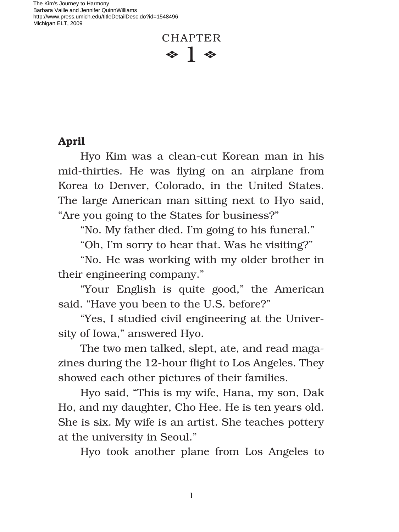The Kim's Journey to Harmony Barbara Vaille and Jennifer QuinnWilliams http://www.press.umich.edu/titleDetailDesc.do?id=1548496 Michigan ELT, 2009

## CHAPTER  $\ddot{\bullet}$  1  $\ddot{\bullet}$

## **April**

Hyo Kim was a clean-cut Korean man in his mid-thirties. He was flying on an airplane from Korea to Denver, Colorado, in the United States. The large American man sitting next to Hyo said, "Are you going to the States for business?"

"No. My father died. I'm going to his funeral."

"Oh, I'm sorry to hear that. Was he visiting?"

"No. He was working with my older brother in their engineering company."

"Your English is quite good," the American said. "Have you been to the U.S. before?"

"Yes, I studied civil engineering at the University of Iowa," answered Hyo.

The two men talked, slept, ate, and read magazines during the 12-hour flight to Los Angeles. They showed each other pictures of their families.

Hyo said, "This is my wife, Hana, my son, Dak Ho, and my daughter, Cho Hee. He is ten years old. She is six. My wife is an artist. She teaches pottery at the university in Seoul."

Hyo took another plane from Los Angeles to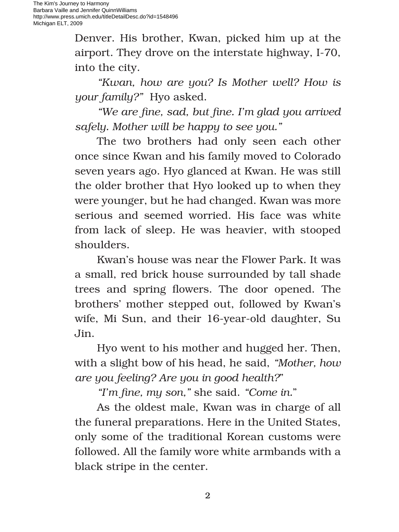Denver. His brother, Kwan, picked him up at the airport. They drove on the interstate highway, I-70, into the city.

*"Kwan, how are you? Is Mother well? How is your family?"* Hyo asked.

*"We are fine, sad, but fine. I'm glad you arrived safely. Mother will be happy to see you."*

The two brothers had only seen each other once since Kwan and his family moved to Colorado seven years ago. Hyo glanced at Kwan. He was still the older brother that Hyo looked up to when they were younger, but he had changed. Kwan was more serious and seemed worried. His face was white from lack of sleep. He was heavier, with stooped shoulders.

Kwan's house was near the Flower Park. It was a small, red brick house surrounded by tall shade trees and spring flowers. The door opened. The brothers' mother stepped out, followed by Kwan's wife, Mi Sun, and their 16-year-old daughter, Su Jin.

Hyo went to his mother and hugged her. Then, with a slight bow of his head, he said, *"Mother, how are you feeling? Are you in good health?*"

*"I'm fine, my son,"* she said. *"Come in."* 

As the oldest male, Kwan was in charge of all the funeral preparations. Here in the United States, only some of the traditional Korean customs were followed. All the family wore white armbands with a black stripe in the center.